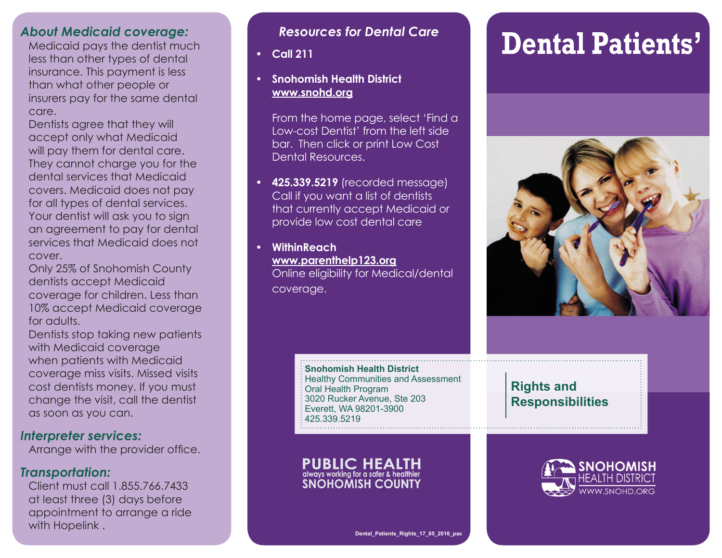#### *About Medicaid coverage:*

Medicaid pays the dentist much less than other types of dental insurance. This payment is less than what other people or insurers pay for the same dental care.

Dentists agree that they will accept only what Medicaid will pay them for dental care. They cannot charge you for the dental services that Medicaid covers. Medicaid does not pay for all types of dental services. Your dentist will ask you to sign an agreement to pay for dental services that Medicaid does not cover.

Only 25% of Snohomish County dentists accept Medicaid coverage for children. Less than 10% accept Medicaid coverage for adults.

Dentists stop taking new patients with Medicaid coverage when patients with Medicaid coverage miss visits. Missed visits cost dentists money. If you must change the visit, call the dentist as soon as you can.

#### *Interpreter services:*

Arrange with the provider office.

#### *Transportation:*

Client must call 1.855.766.7433 at least three (3) days before appointment to arrange a ride with Hopelink.

#### **SIPP\_Brochure01\_06\_2013\_pac** *Resources for Dental Care*

**• Call 211**

#### **• Snohomish Health District www.snohd.org**

From the home page, select 'Find a Low-cost Dentist' from the left side bar. Then click or print Low Cost Dental Resources.

**• 425.339.5219** (recorded message) Call if you want a list of dentists that currently accept Medicaid or provide low cost dental care

**• WithinReach www.parenthelp123.org** Online eligibility for Medical/dental coverage.

#### **Snohomish Health District** Healthy Communities and Assessment Oral Health Program 3020 Rucker Avenue, Ste 203 Everett, WA 98201-3900 425.339.5219

**PUBLIC HEALTH** always working for a safer & healthier **SNOHOMISH COUNTY** 

# **Dental Patients'**



### **Rights and Responsibilities**